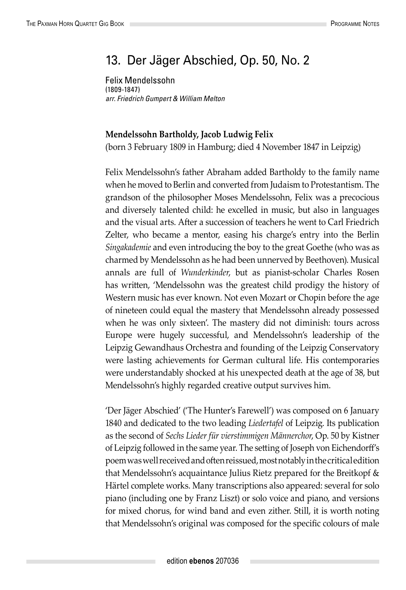## 13. Der Jäger Abschied, Op. 50, No. 2

Felix Mendelssohn (1809-1847) *arr. Friedrich Gumpert & William Melton*

## **Mendelssohn Bartholdy, Jacob Ludwig Felix**

(born 3 February 1809 in Hamburg; died 4 November 1847 in Leipzig)

Felix Mendelssohn's father Abraham added Bartholdy to the family name when he moved to Berlin and converted from Judaism to Protestantism. The grandson of the philosopher Moses Mendelssohn, Felix was a precocious and diversely talented child: he excelled in music, but also in languages and the visual arts. After a succession of teachers he went to Carl Friedrich Zelter, who became a mentor, easing his charge's entry into the Berlin *Singakademie* and even introducing the boy to the great Goethe (who was as charmed by Mendelssohn as he had been unnerved by Beethoven). Musical annals are full of *Wunderkinder*, but as pianist-scholar Charles Rosen has written, 'Mendelssohn was the greatest child prodigy the history of Western music has ever known. Not even Mozart or Chopin before the age of nineteen could equal the mastery that Mendelssohn already possessed when he was only sixteen'. The mastery did not diminish: tours across Europe were hugely successful, and Mendelssohn's leadership of the Leipzig Gewandhaus Orchestra and founding of the Leipzig Conservatory were lasting achievements for German cultural life. His contemporaries were understandably shocked at his unexpected death at the age of 38, but Mendelssohn's highly regarded creative output survives him.

'Der Jäger Abschied' ('The Hunter's Farewell') was composed on 6 January 1840 and dedicated to the two leading *Liedertafel* of Leipzig. Its publication as the second of *Sechs Lieder für vierstimmigen Männerchor*, Op. 50 by Kistner of Leipzig followed in the same year. The setting of Joseph von Eichendorff's poem was well received and often reissued, most notably in the critical edition that Mendelssohn's acquaintance Julius Rietz prepared for the Breitkopf & Härtel complete works. Many transcriptions also appeared: several for solo piano (including one by Franz Liszt) or solo voice and piano, and versions for mixed chorus, for wind band and even zither. Still, it is worth noting that Mendelssohn's original was composed for the specific colours of male